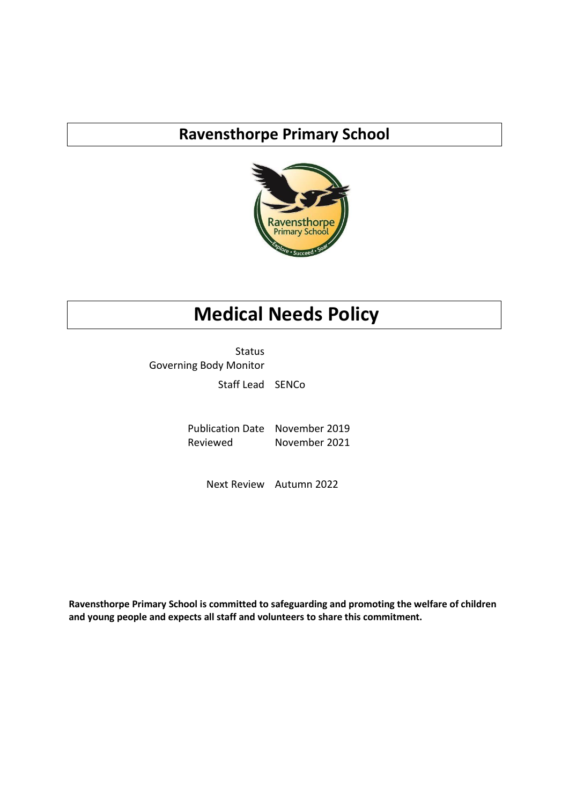# **Ravensthorpe Primary School**



# **Medical Needs Policy**

Status Governing Body Monitor

Staff Lead SENCo

Publication Date November 2019 Reviewed November 2021

Next Review Autumn 2022

**Ravensthorpe Primary School is committed to safeguarding and promoting the welfare of children and young people and expects all staff and volunteers to share this commitment.**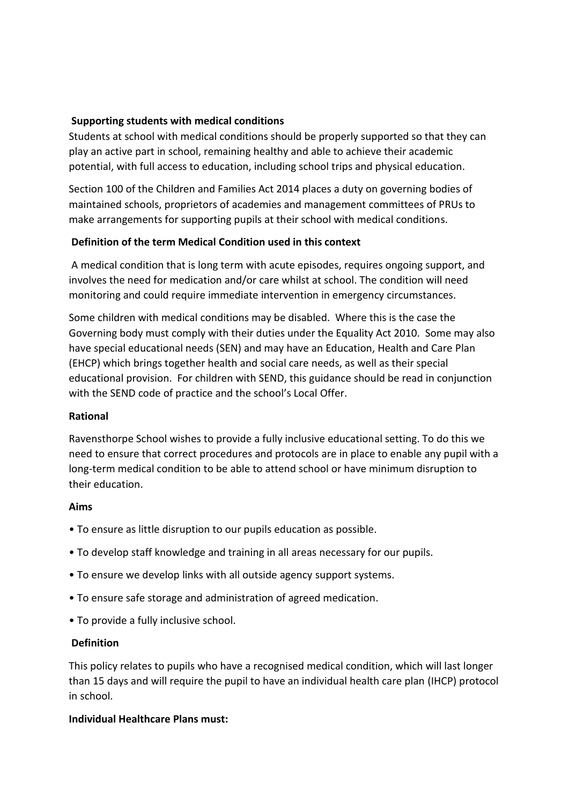#### **Supporting students with medical conditions**

Students at school with medical conditions should be properly supported so that they can play an active part in school, remaining healthy and able to achieve their academic potential, with full access to education, including school trips and physical education.

Section 100 of the Children and Families Act 2014 places a duty on governing bodies of maintained schools, proprietors of academies and management committees of PRUs to make arrangements for supporting pupils at their school with medical conditions.

### **Definition of the term Medical Condition used in this context**

A medical condition that is long term with acute episodes, requires ongoing support, and involves the need for medication and/or care whilst at school. The condition will need monitoring and could require immediate intervention in emergency circumstances.

Some children with medical conditions may be disabled. Where this is the case the Governing body must comply with their duties under the Equality Act 2010. Some may also have special educational needs (SEN) and may have an Education, Health and Care Plan (EHCP) which brings together health and social care needs, as well as their special educational provision. For children with SEND, this guidance should be read in conjunction with the SEND code of practice and the school's Local Offer.

### **Rational**

Ravensthorpe School wishes to provide a fully inclusive educational setting. To do this we need to ensure that correct procedures and protocols are in place to enable any pupil with a long-term medical condition to be able to attend school or have minimum disruption to their education.

### **Aims**

- To ensure as little disruption to our pupils education as possible.
- To develop staff knowledge and training in all areas necessary for our pupils.
- To ensure we develop links with all outside agency support systems.
- To ensure safe storage and administration of agreed medication.
- To provide a fully inclusive school.

#### **Definition**

This policy relates to pupils who have a recognised medical condition, which will last longer than 15 days and will require the pupil to have an individual health care plan (IHCP) protocol in school.

### **Individual Healthcare Plans must:**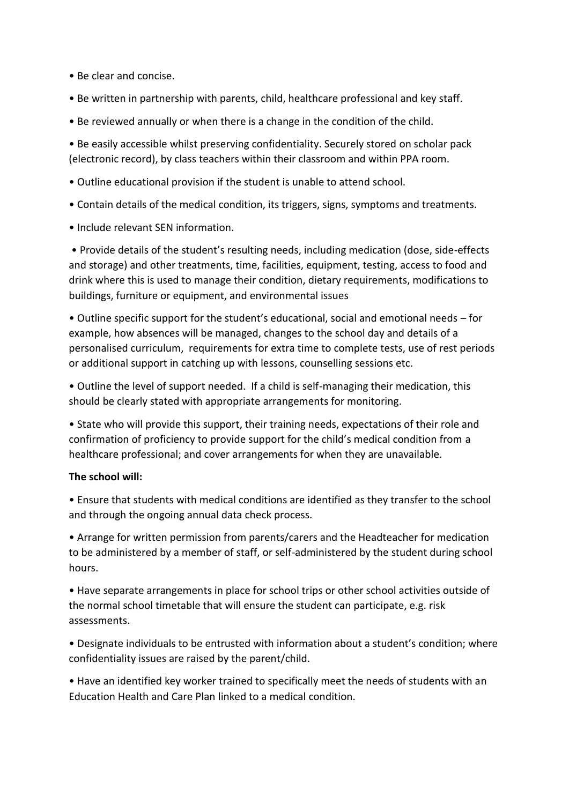• Be clear and concise.

- Be written in partnership with parents, child, healthcare professional and key staff.
- Be reviewed annually or when there is a change in the condition of the child.

• Be easily accessible whilst preserving confidentiality. Securely stored on scholar pack (electronic record), by class teachers within their classroom and within PPA room.

- Outline educational provision if the student is unable to attend school.
- Contain details of the medical condition, its triggers, signs, symptoms and treatments.
- Include relevant SEN information.

• Provide details of the student's resulting needs, including medication (dose, side-effects and storage) and other treatments, time, facilities, equipment, testing, access to food and drink where this is used to manage their condition, dietary requirements, modifications to buildings, furniture or equipment, and environmental issues

• Outline specific support for the student's educational, social and emotional needs – for example, how absences will be managed, changes to the school day and details of a personalised curriculum, requirements for extra time to complete tests, use of rest periods or additional support in catching up with lessons, counselling sessions etc.

• Outline the level of support needed. If a child is self-managing their medication, this should be clearly stated with appropriate arrangements for monitoring.

• State who will provide this support, their training needs, expectations of their role and confirmation of proficiency to provide support for the child's medical condition from a healthcare professional; and cover arrangements for when they are unavailable.

### **The school will:**

• Ensure that students with medical conditions are identified as they transfer to the school and through the ongoing annual data check process.

• Arrange for written permission from parents/carers and the Headteacher for medication to be administered by a member of staff, or self-administered by the student during school hours.

• Have separate arrangements in place for school trips or other school activities outside of the normal school timetable that will ensure the student can participate, e.g. risk assessments.

• Designate individuals to be entrusted with information about a student's condition; where confidentiality issues are raised by the parent/child.

• Have an identified key worker trained to specifically meet the needs of students with an Education Health and Care Plan linked to a medical condition.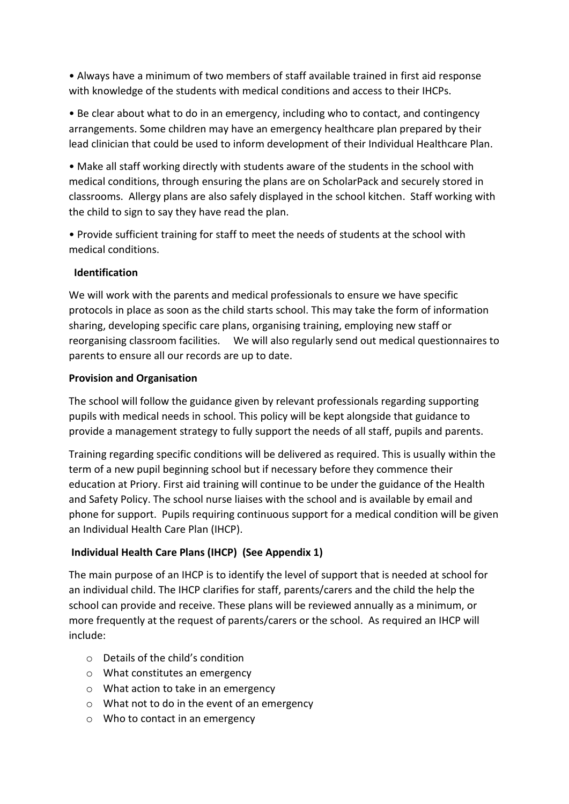• Always have a minimum of two members of staff available trained in first aid response with knowledge of the students with medical conditions and access to their IHCPs.

• Be clear about what to do in an emergency, including who to contact, and contingency arrangements. Some children may have an emergency healthcare plan prepared by their lead clinician that could be used to inform development of their Individual Healthcare Plan.

• Make all staff working directly with students aware of the students in the school with medical conditions, through ensuring the plans are on ScholarPack and securely stored in classrooms. Allergy plans are also safely displayed in the school kitchen. Staff working with the child to sign to say they have read the plan.

• Provide sufficient training for staff to meet the needs of students at the school with medical conditions.

### **Identification**

We will work with the parents and medical professionals to ensure we have specific protocols in place as soon as the child starts school. This may take the form of information sharing, developing specific care plans, organising training, employing new staff or reorganising classroom facilities. We will also regularly send out medical questionnaires to parents to ensure all our records are up to date.

## **Provision and Organisation**

The school will follow the guidance given by relevant professionals regarding supporting pupils with medical needs in school. This policy will be kept alongside that guidance to provide a management strategy to fully support the needs of all staff, pupils and parents.

Training regarding specific conditions will be delivered as required. This is usually within the term of a new pupil beginning school but if necessary before they commence their education at Priory. First aid training will continue to be under the guidance of the Health and Safety Policy. The school nurse liaises with the school and is available by email and phone for support. Pupils requiring continuous support for a medical condition will be given an Individual Health Care Plan (IHCP).

# **Individual Health Care Plans (IHCP) (See Appendix 1)**

The main purpose of an IHCP is to identify the level of support that is needed at school for an individual child. The IHCP clarifies for staff, parents/carers and the child the help the school can provide and receive. These plans will be reviewed annually as a minimum, or more frequently at the request of parents/carers or the school. As required an IHCP will include:

- o Details of the child's condition
- o What constitutes an emergency
- o What action to take in an emergency
- o What not to do in the event of an emergency
- o Who to contact in an emergency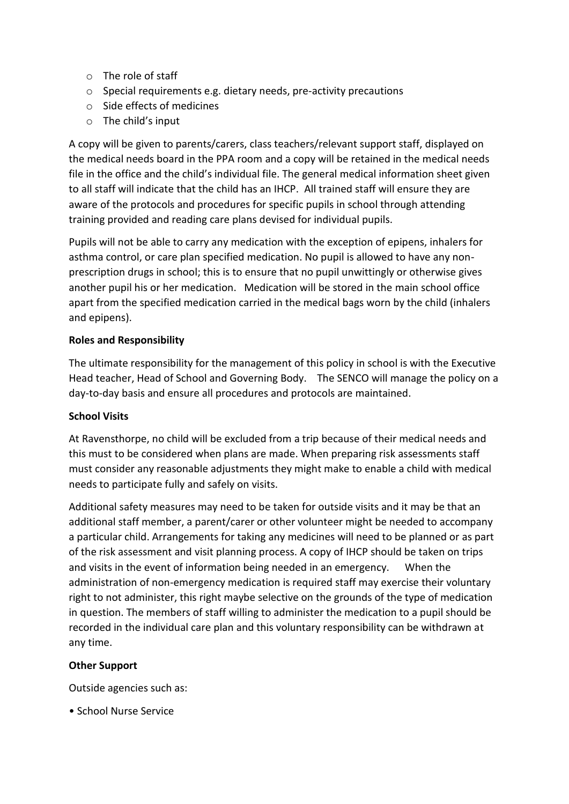- o The role of staff
- o Special requirements e.g. dietary needs, pre-activity precautions
- o Side effects of medicines
- o The child's input

A copy will be given to parents/carers, class teachers/relevant support staff, displayed on the medical needs board in the PPA room and a copy will be retained in the medical needs file in the office and the child's individual file. The general medical information sheet given to all staff will indicate that the child has an IHCP. All trained staff will ensure they are aware of the protocols and procedures for specific pupils in school through attending training provided and reading care plans devised for individual pupils.

Pupils will not be able to carry any medication with the exception of epipens, inhalers for asthma control, or care plan specified medication. No pupil is allowed to have any nonprescription drugs in school; this is to ensure that no pupil unwittingly or otherwise gives another pupil his or her medication. Medication will be stored in the main school office apart from the specified medication carried in the medical bags worn by the child (inhalers and epipens).

### **Roles and Responsibility**

The ultimate responsibility for the management of this policy in school is with the Executive Head teacher, Head of School and Governing Body. The SENCO will manage the policy on a day-to-day basis and ensure all procedures and protocols are maintained.

### **School Visits**

At Ravensthorpe, no child will be excluded from a trip because of their medical needs and this must to be considered when plans are made. When preparing risk assessments staff must consider any reasonable adjustments they might make to enable a child with medical needs to participate fully and safely on visits.

Additional safety measures may need to be taken for outside visits and it may be that an additional staff member, a parent/carer or other volunteer might be needed to accompany a particular child. Arrangements for taking any medicines will need to be planned or as part of the risk assessment and visit planning process. A copy of IHCP should be taken on trips and visits in the event of information being needed in an emergency. When the administration of non-emergency medication is required staff may exercise their voluntary right to not administer, this right maybe selective on the grounds of the type of medication in question. The members of staff willing to administer the medication to a pupil should be recorded in the individual care plan and this voluntary responsibility can be withdrawn at any time.

### **Other Support**

Outside agencies such as:

• School Nurse Service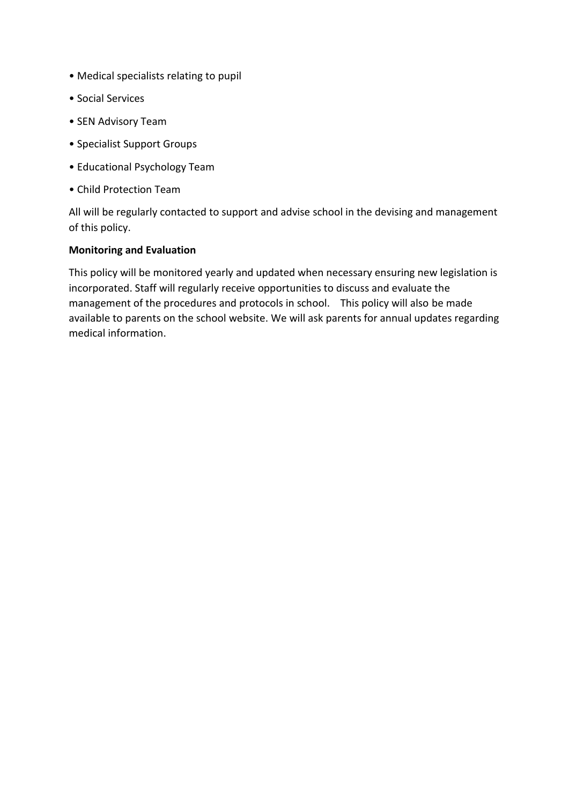- Medical specialists relating to pupil
- Social Services
- SEN Advisory Team
- Specialist Support Groups
- Educational Psychology Team
- Child Protection Team

All will be regularly contacted to support and advise school in the devising and management of this policy.

#### **Monitoring and Evaluation**

This policy will be monitored yearly and updated when necessary ensuring new legislation is incorporated. Staff will regularly receive opportunities to discuss and evaluate the management of the procedures and protocols in school. This policy will also be made available to parents on the school website. We will ask parents for annual updates regarding medical information.